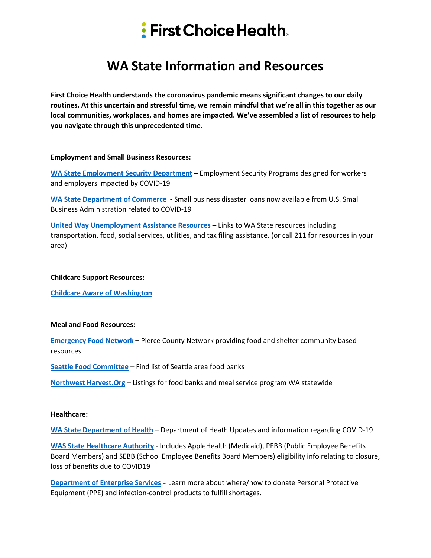# $\frac{1}{2}$  First Choice Health.

## **WA State Information and Resources**

**First Choice Health understands the coronavirus pandemic means significant changes to our daily routines. At this uncertain and stressful time, we remain mindful that we're all in this together as our local communities, workplaces, and homes are impacted. We've assembled a list of resources to help you navigate through this unprecedented time.** 

#### **Employment and Small Business Resources:**

**[WA State Employment Security Department](https://esd.wa.gov/) –** Employment Security Programs designed for workers and employers impacted by COVID-19

**[WA State Department of Commerce](https://content.govdelivery.com/accounts/WADOC/bulletins/2818995) -** Small business disaster loans now available from U.S. Small Business Administration related to COVID-19

**[United Way Unemployment Assistance Resources](https://www.uwkc.org/news/unemployed-due-to-coronavirus-pandemic-heres-where-to-get-help/?fbclid=IwAR0akQ8mSvrLViRRMU2S8ETD5DgbaLq_hDCcLNnXdKyimY5Jg9TfC_xlPjA) –** Links to WA State resources including transportation, food, social services, utilities, and tax filing assistance. (or call 211 for resources in your area)

#### **Childcare Support Resources:**

**[Childcare Aware of Washington](https://childcareawarewa.org/families/?fbclid=IwAR1ieP1OLCm8s0I-vP3TWyss4NDWQWucMcVdR7rywr3L_iFa7FsUwCi2BHY)**

#### **Meal and Food Resources:**

**[Emergency Food Network](https://www.efoodnet.org/food-pantry-updates/?fbclid=IwAR13itPL6cvSq85gvgCTmljDar4mzR8IOEi6jktKXJ1R933kq0XOGSF5ZAE) –** Pierce County Network providing food and shelter community based resources

**[Seattle Food Committee](http://www.seattlefoodcommittee.org/)** – Find list of Seattle area food banks

**[Northwest Harvest.Org](https://www.northwestharvest.org/find-help)** – Listings for food banks and meal service program WA statewide

#### **Healthcare:**

**[WA State Department of Health](https://www.doh.wa.gov/) –** Department of Heath Updates and information regarding COVID-19

**[WAS State Healthcare Authority](https://www.hca.wa.gov/information-about-novel-corona-virus-covid-19)** - Includes AppleHealth (Medicaid), PEBB (Public Employee Benefits Board Members) and SEBB (School Employee Benefits Board Members) eligibility info relating to closure, loss of benefits due to COVID19

**[Department of Enterprise Services](https://des.wa.gov/about/agency-overview/covid-19-information-%E2%80%93-des-guidance/personal-protective-equipment)** - Learn more about where/how to donate Personal Protective Equipment (PPE) and infection-control products to fulfill shortages.